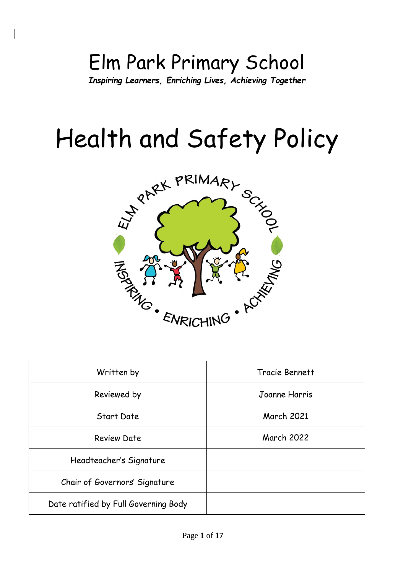# Elm Park Primary School *Inspiring Learners, Enriching Lives, Achieving Together*

# Health and Safety Policy



| Written by                           | Tracie Bennett    |  |
|--------------------------------------|-------------------|--|
| Reviewed by                          | Joanne Harris     |  |
| Start Date                           | <b>March 2021</b> |  |
| <b>Review Date</b>                   | <b>March 2022</b> |  |
| Headteacher's Signature              |                   |  |
| Chair of Governors' Signature        |                   |  |
| Date ratified by Full Governing Body |                   |  |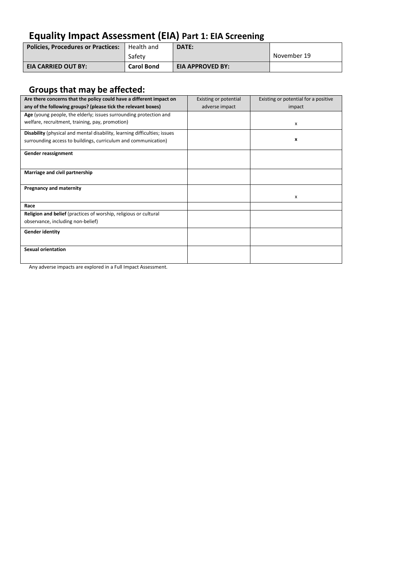## **Equality Impact Assessment (EIA) Part 1: EIA Screening**

| <b>Policies, Procedures or Practices:</b>   Health and |                   | DATE:                   |             |
|--------------------------------------------------------|-------------------|-------------------------|-------------|
|                                                        | Safety            |                         | November 19 |
| <b>EIA CARRIED OUT BY:</b>                             | <b>Carol Bond</b> | <b>EIA APPROVED BY:</b> |             |

### **Groups that may be affected:**

| Are there concerns that the policy could have a different impact on       | Existing or potential | Existing or potential for a positive |
|---------------------------------------------------------------------------|-----------------------|--------------------------------------|
| any of the following groups? (please tick the relevant boxes)             | adverse impact        | impact                               |
| Age (young people, the elderly; issues surrounding protection and         |                       |                                      |
| welfare, recruitment, training, pay, promotion)                           |                       | x                                    |
| Disability (physical and mental disability, learning difficulties; issues |                       |                                      |
| surrounding access to buildings, curriculum and communication)            |                       | x                                    |
| Gender reassignment                                                       |                       |                                      |
| Marriage and civil partnership                                            |                       |                                      |
| <b>Pregnancy and maternity</b>                                            |                       | x                                    |
| Race                                                                      |                       |                                      |
| Religion and belief (practices of worship, religious or cultural          |                       |                                      |
| observance, including non-belief)                                         |                       |                                      |
| <b>Gender identity</b>                                                    |                       |                                      |
| <b>Sexual orientation</b>                                                 |                       |                                      |

Any adverse impacts are explored in a Full Impact Assessment.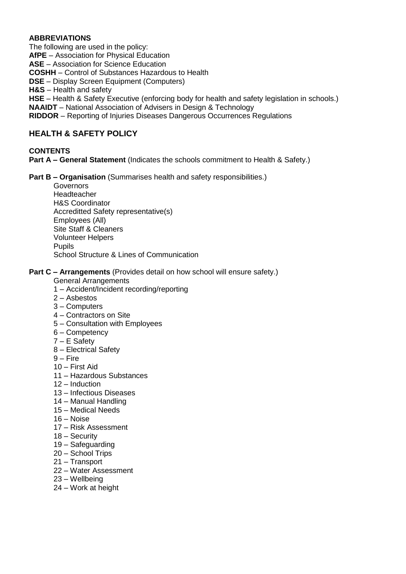#### **ABBREVIATIONS**

The following are used in the policy: **AfPE** – Association for Physical Education **ASE** – Association for Science Education **COSHH** – Control of Substances Hazardous to Health **DSE** – Display Screen Equipment (Computers) **H&S** – Health and safety **HSE** – Health & Safety Executive (enforcing body for health and safety legislation in schools.) **NAAIDT** – National Association of Advisers in Design & Technology **RIDDOR** – Reporting of Injuries Diseases Dangerous Occurrences Regulations

#### **HEALTH & SAFETY POLICY**

#### **CONTENTS**

**Part A – General Statement** (Indicates the schools commitment to Health & Safety.)

**Part B – Organisation** (Summarises health and safety responsibilities.)

**Governors** Headteacher H&S Coordinator Accreditted Safety representative(s) Employees (All) Site Staff & Cleaners Volunteer Helpers Pupils School Structure & Lines of Communication

#### **Part C – Arrangements** (Provides detail on how school will ensure safety.)

General Arrangements

- 1 Accident/Incident recording/reporting
- 2 Asbestos
- 3 Computers
- 4 Contractors on Site
- 5 Consultation with Employees
- 6 Competency
- 7 E Safety
- 8 Electrical Safety
- $9 -$ Fire
- 10 First Aid
- 11 Hazardous Substances
- 12 Induction
- 13 Infectious Diseases
- 14 Manual Handling
- 15 Medical Needs
- 16 Noise
- 17 Risk Assessment
- 18 Security
- 19 Safeguarding
- 20 School Trips
- 21 Transport
- 22 Water Assessment
- 23 Wellbeing
- 24 Work at height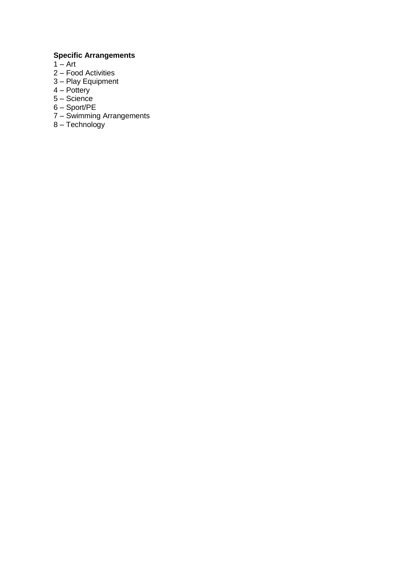#### **Specific Arrangements**

- $1 Art$
- 2 Food Activities
- 3 Play Equipment
- $4 -$  Pottery
- 5 Science
- 6 Sport/PE
- 7 Swimming Arrangements
- 8 Technology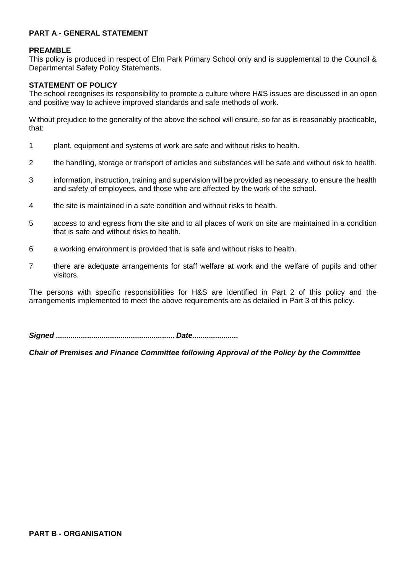#### **PART A - GENERAL STATEMENT**

#### **PREAMBLE**

This policy is produced in respect of Elm Park Primary School only and is supplemental to the Council & Departmental Safety Policy Statements.

#### **STATEMENT OF POLICY**

The school recognises its responsibility to promote a culture where H&S issues are discussed in an open and positive way to achieve improved standards and safe methods of work.

Without prejudice to the generality of the above the school will ensure, so far as is reasonably practicable, that:

- 1 plant, equipment and systems of work are safe and without risks to health.
- 2 the handling, storage or transport of articles and substances will be safe and without risk to health.
- 3 information, instruction, training and supervision will be provided as necessary, to ensure the health and safety of employees, and those who are affected by the work of the school.
- 4 the site is maintained in a safe condition and without risks to health.
- 5 access to and egress from the site and to all places of work on site are maintained in a condition that is safe and without risks to health.
- 6 a working environment is provided that is safe and without risks to health.
- 7 there are adequate arrangements for staff welfare at work and the welfare of pupils and other visitors.

The persons with specific responsibilities for H&S are identified in Part 2 of this policy and the arrangements implemented to meet the above requirements are as detailed in Part 3 of this policy.

*Signed ......................................................... Date......................*

*Chair of Premises and Finance Committee following Approval of the Policy by the Committee*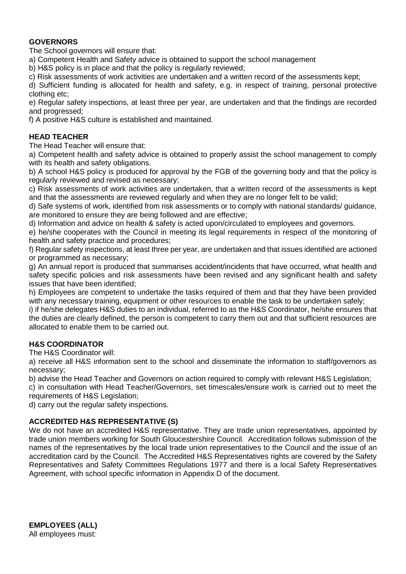#### **GOVERNORS**

The School governors will ensure that:

a) Competent Health and Safety advice is obtained to support the school management

b) H&S policy is in place and that the policy is regularly reviewed;

c) Risk assessments of work activities are undertaken and a written record of the assessments kept;

d) Sufficient funding is allocated for health and safety, e.g. in respect of training, personal protective clothing etc;

e) Regular safety inspections, at least three per year, are undertaken and that the findings are recorded and progressed;

f) A positive H&S culture is established and maintained.

#### **HEAD TEACHER**

The Head Teacher will ensure that:

a) Competent health and safety advice is obtained to properly assist the school management to comply with its health and safety obligations.

b) A school H&S policy is produced for approval by the FGB of the governing body and that the policy is regularly reviewed and revised as necessary;

c) Risk assessments of work activities are undertaken, that a written record of the assessments is kept and that the assessments are reviewed regularly and when they are no longer felt to be valid;

d) Safe systems of work, identified from risk assessments or to comply with national standards/ guidance, are monitored to ensure they are being followed and are effective;

d) Information and advice on health & safety is acted upon/circulated to employees and governors.

e) he/she cooperates with the Council in meeting its legal requirements in respect of the monitoring of health and safety practice and procedures;

f) Regular safety inspections, at least three per year, are undertaken and that issues identified are actioned or programmed as necessary;

g) An annual report is produced that summarises accident/incidents that have occurred, what health and safety specific policies and risk assessments have been revised and any significant health and safety issues that have been identified;

h) Employees are competent to undertake the tasks required of them and that they have been provided with any necessary training, equipment or other resources to enable the task to be undertaken safely;

i) if he/she delegates H&S duties to an individual, referred to as the H&S Coordinator, he/she ensures that the duties are clearly defined, the person is competent to carry them out and that sufficient resources are allocated to enable them to be carried out.

#### **H&S COORDINATOR**

The H&S Coordinator will:

a) receive all H&S information sent to the school and disseminate the information to staff/governors as necessary;

b) advise the Head Teacher and Governors on action required to comply with relevant H&S Legislation;

c) in consultation with Head Teacher/Governors, set timescales/ensure work is carried out to meet the requirements of H&S Legislation;

d) carry out the regular safety inspections.

#### **ACCREDITED H&S REPRESENTATIVE (S)**

We do not have an accredited H&S representative. They are trade union representatives, appointed by trade union members working for South Gloucestershire Council. Accreditation follows submission of the names of the representatives by the local trade union representatives to the Council and the issue of an accreditation card by the Council. The Accredited H&S Representatives rights are covered by the Safety Representatives and Safety Committees Regulations 1977 and there is a local Safety Representatives Agreement, with school specific information in Appendix D of the document.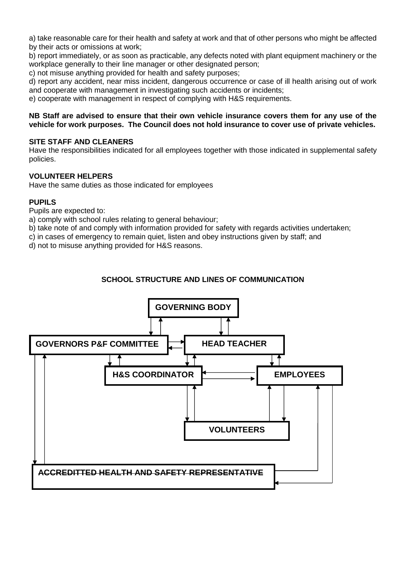a) take reasonable care for their health and safety at work and that of other persons who might be affected by their acts or omissions at work;

b) report immediately, or as soon as practicable, any defects noted with plant equipment machinery or the workplace generally to their line manager or other designated person;

c) not misuse anything provided for health and safety purposes;

d) report any accident, near miss incident, dangerous occurrence or case of ill health arising out of work and cooperate with management in investigating such accidents or incidents;

e) cooperate with management in respect of complying with H&S requirements.

#### **NB Staff are advised to ensure that their own vehicle insurance covers them for any use of the vehicle for work purposes. The Council does not hold insurance to cover use of private vehicles.**

#### **SITE STAFF AND CLEANERS**

Have the responsibilities indicated for all employees together with those indicated in supplemental safety policies.

#### **VOLUNTEER HELPERS**

Have the same duties as those indicated for employees

#### **PUPILS**

Pupils are expected to:

a) comply with school rules relating to general behaviour;

b) take note of and comply with information provided for safety with regards activities undertaken;

c) in cases of emergency to remain quiet, listen and obey instructions given by staff; and

d) not to misuse anything provided for H&S reasons.

#### **SCHOOL STRUCTURE AND LINES OF COMMUNICATION**

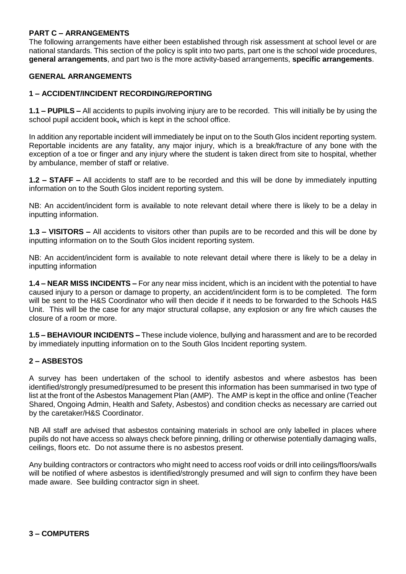#### **PART C – ARRANGEMENTS**

The following arrangements have either been established through risk assessment at school level or are national standards. This section of the policy is split into two parts, part one is the school wide procedures, **general arrangements**, and part two is the more activity-based arrangements, **specific arrangements**.

#### **GENERAL ARRANGEMENTS**

#### **1 – ACCIDENT/INCIDENT RECORDING/REPORTING**

**1.1 – PUPILS –** All accidents to pupils involving injury are to be recorded. This will initially be by using the school pupil accident book**,** which is kept in the school office.

In addition any reportable incident will immediately be input on to the South Glos incident reporting system. Reportable incidents are any fatality, any major injury, which is a break/fracture of any bone with the exception of a toe or finger and any injury where the student is taken direct from site to hospital, whether by ambulance, member of staff or relative.

**1.2 – STAFF –** All accidents to staff are to be recorded and this will be done by immediately inputting information on to the South Glos incident reporting system.

NB: An accident/incident form is available to note relevant detail where there is likely to be a delay in inputting information.

**1.3 – VISITORS –** All accidents to visitors other than pupils are to be recorded and this will be done by inputting information on to the South Glos incident reporting system.

NB: An accident/incident form is available to note relevant detail where there is likely to be a delay in inputting information

**1.4 – NEAR MISS INCIDENTS –** For any near miss incident, which is an incident with the potential to have caused injury to a person or damage to property, an accident/incident form is to be completed. The form will be sent to the H&S Coordinator who will then decide if it needs to be forwarded to the Schools H&S Unit. This will be the case for any major structural collapse, any explosion or any fire which causes the closure of a room or more.

**1.5 – BEHAVIOUR INCIDENTS –** These include violence, bullying and harassment and are to be recorded by immediately inputting information on to the South Glos Incident reporting system.

#### **2 – ASBESTOS**

A survey has been undertaken of the school to identify asbestos and where asbestos has been identified/strongly presumed/presumed to be present this information has been summarised in two type of list at the front of the Asbestos Management Plan (AMP). The AMP is kept in the office and online (Teacher Shared, Ongoing Admin, Health and Safety, Asbestos) and condition checks as necessary are carried out by the caretaker/H&S Coordinator.

NB All staff are advised that asbestos containing materials in school are only labelled in places where pupils do not have access so always check before pinning, drilling or otherwise potentially damaging walls, ceilings, floors etc. Do not assume there is no asbestos present.

Any building contractors or contractors who might need to access roof voids or drill into ceilings/floors/walls will be notified of where asbestos is identified/strongly presumed and will sign to confirm they have been made aware. See building contractor sign in sheet.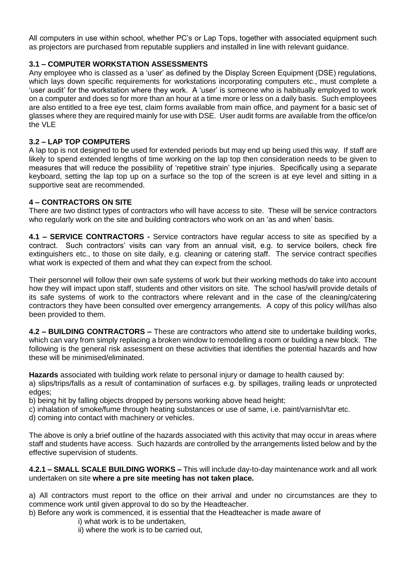All computers in use within school, whether PC's or Lap Tops, together with associated equipment such as projectors are purchased from reputable suppliers and installed in line with relevant guidance.

#### **3.1 – COMPUTER WORKSTATION ASSESSMENTS**

Any employee who is classed as a 'user' as defined by the Display Screen Equipment (DSE) regulations, which lays down specific requirements for workstations incorporating computers etc., must complete a 'user audit' for the workstation where they work. A 'user' is someone who is habitually employed to work on a computer and does so for more than an hour at a time more or less on a daily basis. Such employees are also entitled to a free eye test, claim forms available from main office, and payment for a basic set of glasses where they are required mainly for use with DSE. User audit forms are available from the office/on the VLE

#### **3.2 – LAP TOP COMPUTERS**

A lap top is not designed to be used for extended periods but may end up being used this way. If staff are likely to spend extended lengths of time working on the lap top then consideration needs to be given to measures that will reduce the possibility of 'repetitive strain' type injuries. Specifically using a separate keyboard, setting the lap top up on a surface so the top of the screen is at eye level and sitting in a supportive seat are recommended.

#### **4 – CONTRACTORS ON SITE**

There are two distinct types of contractors who will have access to site. These will be service contractors who regularly work on the site and building contractors who work on an 'as and when' basis.

**4.1 – SERVICE CONTRACTORS -** Service contractors have regular access to site as specified by a contract. Such contractors' visits can vary from an annual visit, e.g. to service boilers, check fire extinguishers etc., to those on site daily, e.g. cleaning or catering staff. The service contract specifies what work is expected of them and what they can expect from the school.

Their personnel will follow their own safe systems of work but their working methods do take into account how they will impact upon staff, students and other visitors on site. The school has/will provide details of its safe systems of work to the contractors where relevant and in the case of the cleaning/catering contractors they have been consulted over emergency arrangements. A copy of this policy will/has also been provided to them.

**4.2 – BUILDING CONTRACTORS –** These are contractors who attend site to undertake building works, which can vary from simply replacing a broken window to remodelling a room or building a new block. The following is the general risk assessment on these activities that identifies the potential hazards and how these will be minimised/eliminated.

**Hazards** associated with building work relate to personal injury or damage to health caused by:

a) slips/trips/falls as a result of contamination of surfaces e.g. by spillages, trailing leads or unprotected edges;

b) being hit by falling objects dropped by persons working above head height;

- c) inhalation of smoke/fume through heating substances or use of same, i.e. paint/varnish/tar etc.
- d) coming into contact with machinery or vehicles.

The above is only a brief outline of the hazards associated with this activity that may occur in areas where staff and students have access. Such hazards are controlled by the arrangements listed below and by the effective supervision of students.

**4.2.1 – SMALL SCALE BUILDING WORKS –** This will include day-to-day maintenance work and all work undertaken on site **where a pre site meeting has not taken place.**

a) All contractors must report to the office on their arrival and under no circumstances are they to commence work until given approval to do so by the Headteacher.

b) Before any work is commenced, it is essential that the Headteacher is made aware of

- i) what work is to be undertaken,
- ii) where the work is to be carried out,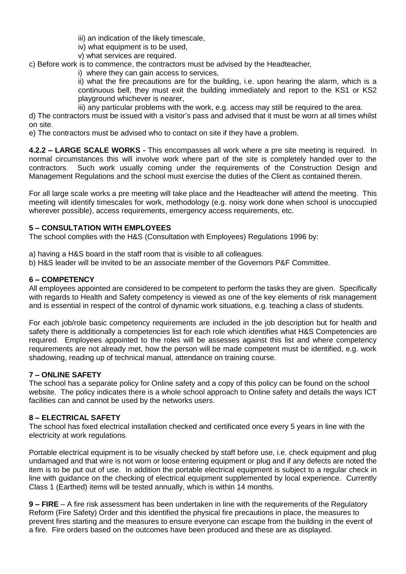iii) an indication of the likely timescale,

iv) what equipment is to be used,

v) what services are required.

c) Before work is to commence, the contractors must be advised by the Headteacher*,*

i) where they can gain access to services.

ii) what the fire precautions are for the building, i.e. upon hearing the alarm, which is a continuous bell, they must exit the building immediately and report to the KS1 or KS2 playground whichever is nearer,

iii) any particular problems with the work, e.g. access may still be required to the area.

d) The contractors must be issued with a visitor's pass and advised that it must be worn at all times whilst on site.

e) The contractors must be advised who to contact on site if they have a problem.

**4.2.2 – LARGE SCALE WORKS -** This encompasses all work where a pre site meeting is required. In normal circumstances this will involve work where part of the site is completely handed over to the contractors. Such work usually coming under the requirements of the Construction Design and Management Regulations and the school must exercise the duties of the Client as contained therein.

For all large scale works a pre meeting will take place and the Headteacher will attend the meeting. This meeting will identify timescales for work, methodology (e.g. noisy work done when school is unoccupied wherever possible), access requirements, emergency access requirements, etc.

#### **5 – CONSULTATION WITH EMPLOYEES**

The school complies with the H&S (Consultation with Employees) Regulations 1996 by:

- a) having a H&S board in the staff room that is visible to all colleagues.
- b) H&S leader will be invited to be an associate member of the Governors P&F Committee.

#### **6 – COMPETENCY**

All employees appointed are considered to be competent to perform the tasks they are given. Specifically with regards to Health and Safety competency is viewed as one of the key elements of risk management and is essential in respect of the control of dynamic work situations, e.g. teaching a class of students.

For each job/role basic competency requirements are included in the job description but for health and safety there is additionally a competencies list for each role which identifies what H&S Competencies are required. Employees appointed to the roles will be assesses against this list and where competency requirements are not already met, how the person will be made competent must be identified, e.g. work shadowing, reading up of technical manual, attendance on training course.

#### **7 – ONLINE SAFETY**

The school has a separate policy for Online safety and a copy of this policy can be found on the school website. The policy indicates there is a whole school approach to Online safety and details the ways ICT facilities can and cannot be used by the networks users.

#### **8 – ELECTRICAL SAFETY**

The school has fixed electrical installation checked and certificated once every 5 years in line with the electricity at work regulations.

Portable electrical equipment is to be visually checked by staff before use, i.e. check equipment and plug undamaged and that wire is not worn or loose entering equipment or plug and if any defects are noted the item is to be put out of use. In addition the portable electrical equipment is subject to a regular check in line with guidance on the checking of electrical equipment supplemented by local experience. Currently Class 1 (Earthed) items will be tested annually, which is within 14 months.

**9 – FIRE** – A fire risk assessment has been undertaken in line with the requirements of the Regulatory Reform (Fire Safety) Order and this identified the physical fire precautions in place, the measures to prevent fires starting and the measures to ensure everyone can escape from the building in the event of a fire. Fire orders based on the outcomes have been produced and these are as displayed.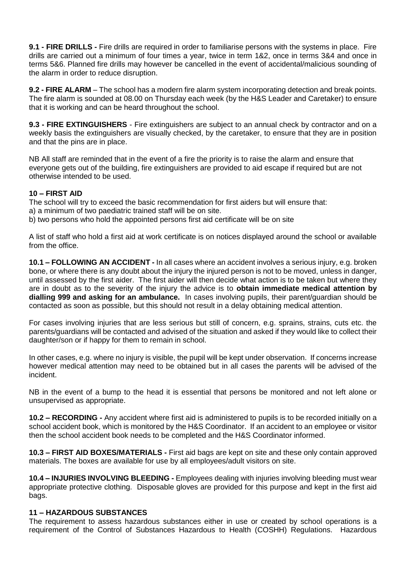**9.1 - FIRE DRILLS -** Fire drills are required in order to familiarise persons with the systems in place. Fire drills are carried out a minimum of four times a year, twice in term 1&2, once in terms 3&4 and once in terms 5&6. Planned fire drills may however be cancelled in the event of accidental/malicious sounding of the alarm in order to reduce disruption.

**9.2 - FIRE ALARM** – The school has a modern fire alarm system incorporating detection and break points. The fire alarm is sounded at 08.00 on Thursday each week (by the H&S Leader and Caretaker) to ensure that it is working and can be heard throughout the school.

**9.3 - FIRE EXTINGUISHERS** - Fire extinguishers are subject to an annual check by contractor and on a weekly basis the extinguishers are visually checked, by the caretaker, to ensure that they are in position and that the pins are in place.

NB All staff are reminded that in the event of a fire the priority is to raise the alarm and ensure that everyone gets out of the building, fire extinguishers are provided to aid escape if required but are not otherwise intended to be used.

#### **10 – FIRST AID**

The school will try to exceed the basic recommendation for first aiders but will ensure that:

- a) a minimum of two paediatric trained staff will be on site.
- b) two persons who hold the appointed persons first aid certificate will be on site

A list of staff who hold a first aid at work certificate is on notices displayed around the school or available from the office.

**10.1 – FOLLOWING AN ACCIDENT -** In all cases where an accident involves a serious injury, e.g. broken bone, or where there is any doubt about the injury the injured person is not to be moved, unless in danger, until assessed by the first aider. The first aider will then decide what action is to be taken but where they are in doubt as to the severity of the injury the advice is to **obtain immediate medical attention by dialling 999 and asking for an ambulance.** In cases involving pupils, their parent/guardian should be contacted as soon as possible, but this should not result in a delay obtaining medical attention.

For cases involving injuries that are less serious but still of concern, e.g. sprains, strains, cuts etc. the parents/guardians will be contacted and advised of the situation and asked if they would like to collect their daughter/son or if happy for them to remain in school.

In other cases, e.g. where no injury is visible, the pupil will be kept under observation. If concerns increase however medical attention may need to be obtained but in all cases the parents will be advised of the incident.

NB in the event of a bump to the head it is essential that persons be monitored and not left alone or unsupervised as appropriate.

**10.2 – RECORDING -** Any accident where first aid is administered to pupils is to be recorded initially on a school accident book, which is monitored by the H&S Coordinator. If an accident to an employee or visitor then the school accident book needs to be completed and the H&S Coordinator informed.

**10.3 – FIRST AID BOXES/MATERIALS -** First aid bags are kept on site and these only contain approved materials. The boxes are available for use by all employees/adult visitors on site.

**10.4 – INJURIES INVOLVING BLEEDING -** Employees dealing with injuries involving bleeding must wear appropriate protective clothing. Disposable gloves are provided for this purpose and kept in the first aid bags.

#### **11 – HAZARDOUS SUBSTANCES**

The requirement to assess hazardous substances either in use or created by school operations is a requirement of the Control of Substances Hazardous to Health (COSHH) Regulations. Hazardous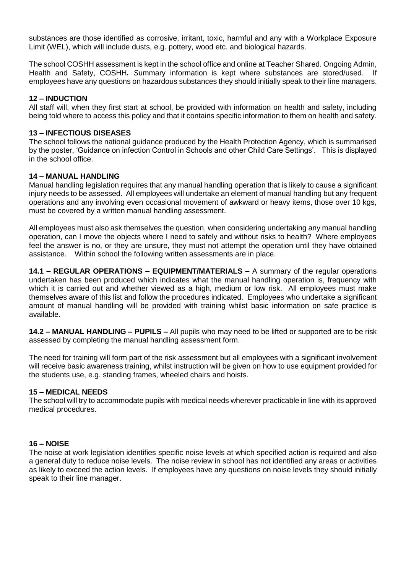substances are those identified as corrosive, irritant, toxic, harmful and any with a Workplace Exposure Limit (WEL), which will include dusts, e.g. pottery, wood etc. and biological hazards.

The school COSHH assessment is kept in the school office and online at Teacher Shared. Ongoing Admin, Health and Safety, COSHH*. S*ummary information is kept where substances are stored/used. If employees have any questions on hazardous substances they should initially speak to their line managers.

#### **12 – INDUCTION**

All staff will, when they first start at school, be provided with information on health and safety, including being told where to access this policy and that it contains specific information to them on health and safety.

#### **13 – INFECTIOUS DISEASES**

The school follows the national guidance produced by the Health Protection Agency, which is summarised by the poster, 'Guidance on infection Control in Schools and other Child Care Settings'. This is displayed in the school office.

#### **14 – MANUAL HANDLING**

Manual handling legislation requires that any manual handling operation that is likely to cause a significant injury needs to be assessed. All employees will undertake an element of manual handling but any frequent operations and any involving even occasional movement of awkward or heavy items, those over 10 kgs, must be covered by a written manual handling assessment.

All employees must also ask themselves the question, when considering undertaking any manual handling operation, can I move the objects where I need to safely and without risks to health? Where employees feel the answer is no, or they are unsure, they must not attempt the operation until they have obtained assistance. Within school the following written assessments are in place.

**14.1 – REGULAR OPERATIONS – EQUIPMENT/MATERIALS –** A summary of the regular operations undertaken has been produced which indicates what the manual handling operation is, frequency with which it is carried out and whether viewed as a high, medium or low risk. All employees must make themselves aware of this list and follow the procedures indicated. Employees who undertake a significant amount of manual handling will be provided with training whilst basic information on safe practice is available.

**14.2 – MANUAL HANDLING – PUPILS –** All pupils who may need to be lifted or supported are to be risk assessed by completing the manual handling assessment form.

The need for training will form part of the risk assessment but all employees with a significant involvement will receive basic awareness training, whilst instruction will be given on how to use equipment provided for the students use, e.g. standing frames, wheeled chairs and hoists.

#### **15 – MEDICAL NEEDS**

The school will try to accommodate pupils with medical needs wherever practicable in line with its approved medical procedures.

#### **16 – NOISE**

The noise at work legislation identifies specific noise levels at which specified action is required and also a general duty to reduce noise levels. The noise review in school has not identified any areas or activities as likely to exceed the action levels. If employees have any questions on noise levels they should initially speak to their line manager.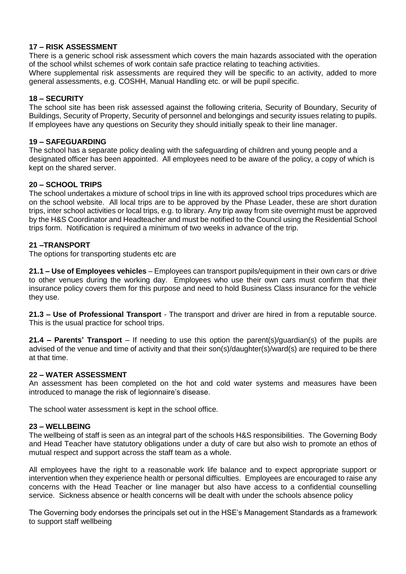#### **17 – RISK ASSESSMENT**

There is a generic school risk assessment which covers the main hazards associated with the operation of the school whilst schemes of work contain safe practice relating to teaching activities.

Where supplemental risk assessments are required they will be specific to an activity, added to more general assessments, e.g. COSHH, Manual Handling etc. or will be pupil specific.

#### **18 – SECURITY**

The school site has been risk assessed against the following criteria, Security of Boundary, Security of Buildings, Security of Property, Security of personnel and belongings and security issues relating to pupils. If employees have any questions on Security they should initially speak to their line manager.

#### **19 – SAFEGUARDING**

The school has a separate policy dealing with the safeguarding of children and young people and a designated officer has been appointed. All employees need to be aware of the policy, a copy of which is kept on the shared server.

#### **20 – SCHOOL TRIPS**

The school undertakes a mixture of school trips in line with its approved school trips procedures which are on the school website. All local trips are to be approved by the Phase Leader, these are short duration trips, inter school activities or local trips, e.g. to library. Any trip away from site overnight must be approved by the H&S Coordinator and Headteacher and must be notified to the Council using the Residential School trips form. Notification is required a minimum of two weeks in advance of the trip.

#### **21 –TRANSPORT**

The options for transporting students etc are

**21.1 – Use of Employees vehicles** – Employees can transport pupils/equipment in their own cars or drive to other venues during the working day. Employees who use their own cars must confirm that their insurance policy covers them for this purpose and need to hold Business Class insurance for the vehicle they use.

**21.3 – Use of Professional Transport** - The transport and driver are hired in from a reputable source. This is the usual practice for school trips.

**21.4 – Parents' Transport** – If needing to use this option the parent(s)/guardian(s) of the pupils are advised of the venue and time of activity and that their son(s)/daughter(s)/ward(s) are required to be there at that time.

#### **22 – WATER ASSESSMENT**

An assessment has been completed on the hot and cold water systems and measures have been introduced to manage the risk of legionnaire's disease.

The school water assessment is kept in the school office.

#### **23 – WELLBEING**

The wellbeing of staff is seen as an integral part of the schools H&S responsibilities. The Governing Body and Head Teacher have statutory obligations under a duty of care but also wish to promote an ethos of mutual respect and support across the staff team as a whole.

All employees have the right to a reasonable work life balance and to expect appropriate support or intervention when they experience health or personal difficulties. Employees are encouraged to raise any concerns with the Head Teacher or line manager but also have access to a confidential counselling service. Sickness absence or health concerns will be dealt with under the schools absence policy

The Governing body endorses the principals set out in the HSE's Management Standards as a framework to support staff wellbeing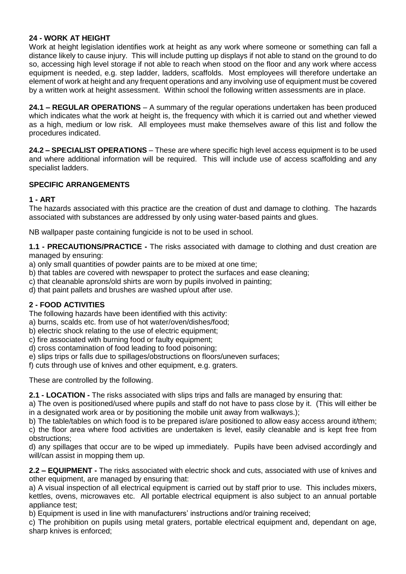#### **24 - WORK AT HEIGHT**

Work at height legislation identifies work at height as any work where someone or something can fall a distance likely to cause injury. This will include putting up displays if not able to stand on the ground to do so, accessing high level storage if not able to reach when stood on the floor and any work where access equipment is needed, e.g. step ladder, ladders, scaffolds. Most employees will therefore undertake an element of work at height and any frequent operations and any involving use of equipment must be covered by a written work at height assessment.Within school the following written assessments are in place.

**24.1 – REGULAR OPERATIONS** – A summary of the regular operations undertaken has been produced which indicates what the work at height is, the frequency with which it is carried out and whether viewed as a high, medium or low risk. All employees must make themselves aware of this list and follow the procedures indicated.

**24.2 – SPECIALIST OPERATIONS** – These are where specific high level access equipment is to be used and where additional information will be required. This will include use of access scaffolding and any specialist ladders.

#### **SPECIFIC ARRANGEMENTS**

#### **1 - ART**

The hazards associated with this practice are the creation of dust and damage to clothing. The hazards associated with substances are addressed by only using water-based paints and glues.

NB wallpaper paste containing fungicide is not to be used in school.

**1.1 - PRECAUTIONS/PRACTICE -** The risks associated with damage to clothing and dust creation are managed by ensuring:

- a) only small quantities of powder paints are to be mixed at one time;
- b) that tables are covered with newspaper to protect the surfaces and ease cleaning;
- c) that cleanable aprons/old shirts are worn by pupils involved in painting;
- d) that paint pallets and brushes are washed up/out after use.

#### **2 - FOOD ACTIVITIES**

The following hazards have been identified with this activity:

- a) burns, scalds etc. from use of hot water/oven/dishes/food;
- b) electric shock relating to the use of electric equipment;
- c) fire associated with burning food or faulty equipment;
- d) cross contamination of food leading to food poisoning;
- e) slips trips or falls due to spillages/obstructions on floors/uneven surfaces;
- f) cuts through use of knives and other equipment, e.g. graters.

These are controlled by the following.

**2.1 - LOCATION -** The risks associated with slips trips and falls are managed by ensuring that:

a) The oven is positioned/used where pupils and staff do not have to pass close by it. (This will either be in a designated work area or by positioning the mobile unit away from walkways.);

b) The table/tables on which food is to be prepared is/are positioned to allow easy access around it/them; c) the floor area where food activities are undertaken is level, easily cleanable and is kept free from obstructions;

d) any spillages that occur are to be wiped up immediately. Pupils have been advised accordingly and will/can assist in mopping them up.

**2.2 – EQUIPMENT -** The risks associated with electric shock and cuts, associated with use of knives and other equipment, are managed by ensuring that:

a) A visual inspection of all electrical equipment is carried out by staff prior to use. This includes mixers, kettles, ovens, microwaves etc. All portable electrical equipment is also subject to an annual portable appliance test;

b) Equipment is used in line with manufacturers' instructions and/or training received;

c) The prohibition on pupils using metal graters, portable electrical equipment and, dependant on age, sharp knives is enforced;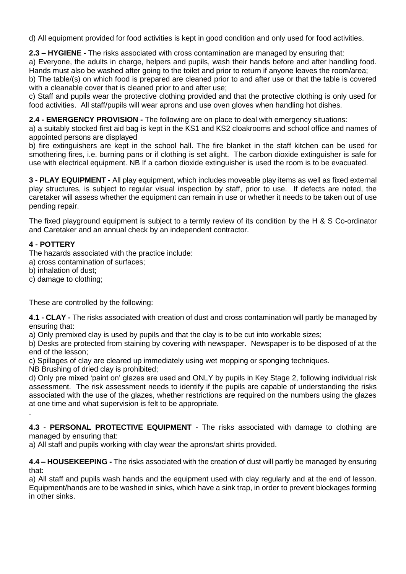d) All equipment provided for food activities is kept in good condition and only used for food activities.

**2.3 – HYGIENE -** The risks associated with cross contamination are managed by ensuring that: a) Everyone, the adults in charge, helpers and pupils, wash their hands before and after handling food.

Hands must also be washed after going to the toilet and prior to return if anyone leaves the room/area; b) The table/(s) on which food is prepared are cleaned prior to and after use or that the table is covered with a cleanable cover that is cleaned prior to and after use:

c) Staff and pupils wear the protective clothing provided and that the protective clothing is only used for food activities. All staff/pupils will wear aprons and use oven gloves when handling hot dishes.

**2.4 - EMERGENCY PROVISION -** The following are on place to deal with emergency situations:

a) a suitably stocked first aid bag is kept in the KS1 and KS2 cloakrooms and school office and names of appointed persons are displayed

b) fire extinguishers are kept in the school hall. The fire blanket in the staff kitchen can be used for smothering fires, i.e. burning pans or if clothing is set alight. The carbon dioxide extinguisher is safe for use with electrical equipment. NB If a carbon dioxide extinguisher is used the room is to be evacuated.

**3 - PLAY EQUIPMENT -** All play equipment, which includes moveable play items as well as fixed external play structures, is subject to regular visual inspection by staff, prior to use. If defects are noted, the caretaker will assess whether the equipment can remain in use or whether it needs to be taken out of use pending repair.

The fixed playground equipment is subject to a termly review of its condition by the H & S Co-ordinator and Caretaker and an annual check by an independent contractor.

#### **4 - POTTERY**

The hazards associated with the practice include:

- a) cross contamination of surfaces;
- b) inhalation of dust;
- c) damage to clothing;

These are controlled by the following:

**4.1 - CLAY -** The risks associated with creation of dust and cross contamination will partly be managed by ensuring that:

a) Only premixed clay is used by pupils and that the clay is to be cut into workable sizes;

b) Desks are protected from staining by covering with newspaper. Newspaper is to be disposed of at the end of the lesson;

c) Spillages of clay are cleared up immediately using wet mopping or sponging techniques.

NB Brushing of dried clay is prohibited;

d) Only pre mixed 'paint on' glazes are used and ONLY by pupils in Key Stage 2, following individual risk assessment. The risk assessment needs to identify if the pupils are capable of understanding the risks associated with the use of the glazes, whether restrictions are required on the numbers using the glazes at one time and what supervision is felt to be appropriate. .

**4.3** - **PERSONAL PROTECTIVE EQUIPMENT** - The risks associated with damage to clothing are managed by ensuring that:

a) All staff and pupils working with clay wear the aprons/art shirts provided.

**4.4 – HOUSEKEEPING -** The risks associated with the creation of dust will partly be managed by ensuring that:

a) All staff and pupils wash hands and the equipment used with clay regularly and at the end of lesson. Equipment/hands are to be washed in sinks**,** which have a sink trap, in order to prevent blockages forming in other sinks.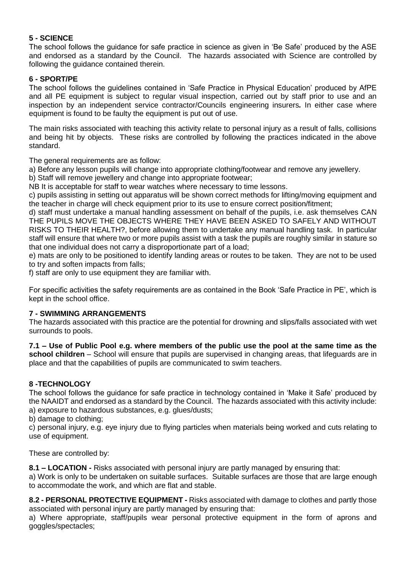#### **5 - SCIENCE**

The school follows the guidance for safe practice in science as given in 'Be Safe' produced by the ASE and endorsed as a standard by the Council. The hazards associated with Science are controlled by following the guidance contained therein.

#### **6 - SPORT/PE**

The school follows the guidelines contained in 'Safe Practice in Physical Education' produced by AfPE and all PE equipment is subject to regular visual inspection, carried out by staff prior to use and an inspection by an independent service contractor/Councils engineering insurers*.* In either case where equipment is found to be faulty the equipment is put out of use.

The main risks associated with teaching this activity relate to personal injury as a result of falls, collisions and being hit by objects. These risks are controlled by following the practices indicated in the above standard.

The general requirements are as follow:

a) Before any lesson pupils will change into appropriate clothing/footwear and remove any jewellery.

b) Staff will remove jewellery and change into appropriate footwear;

NB It is acceptable for staff to wear watches where necessary to time lessons.

c) pupils assisting in setting out apparatus will be shown correct methods for lifting/moving equipment and the teacher in charge will check equipment prior to its use to ensure correct position/fitment;

d) staff must undertake a manual handling assessment on behalf of the pupils, i.e. ask themselves CAN THE PUPILS MOVE THE OBJECTS WHERE THEY HAVE BEEN ASKED TO SAFELY AND WITHOUT RISKS TO THEIR HEALTH?, before allowing them to undertake any manual handling task. In particular staff will ensure that where two or more pupils assist with a task the pupils are roughly similar in stature so that one individual does not carry a disproportionate part of a load;

e) mats are only to be positioned to identify landing areas or routes to be taken. They are not to be used to try and soften impacts from falls;

f) staff are only to use equipment they are familiar with.

For specific activities the safety requirements are as contained in the Book 'Safe Practice in PE', which is kept in the school office.

#### **7 - SWIMMING ARRANGEMENTS**

The hazards associated with this practice are the potential for drowning and slips/falls associated with wet surrounds to pools.

**7.1 – Use of Public Pool e.g. where members of the public use the pool at the same time as the school children** – School will ensure that pupils are supervised in changing areas, that lifeguards are in place and that the capabilities of pupils are communicated to swim teachers.

#### **8 -TECHNOLOGY**

The school follows the guidance for safe practice in technology contained in 'Make it Safe' produced by the NAAIDT and endorsed as a standard by the Council. The hazards associated with this activity include: a) exposure to hazardous substances, e.g. glues/dusts;

b) damage to clothing;

c) personal injury, e.g. eye injury due to flying particles when materials being worked and cuts relating to use of equipment.

These are controlled by:

**8.1 – LOCATION -** Risks associated with personal injury are partly managed by ensuring that:

a) Work is only to be undertaken on suitable surfaces. Suitable surfaces are those that are large enough to accommodate the work, and which are flat and stable.

**8.2 - PERSONAL PROTECTIVE EQUIPMENT -** Risks associated with damage to clothes and partly those associated with personal injury are partly managed by ensuring that:

a) Where appropriate, staff/pupils wear personal protective equipment in the form of aprons and goggles/spectacles;